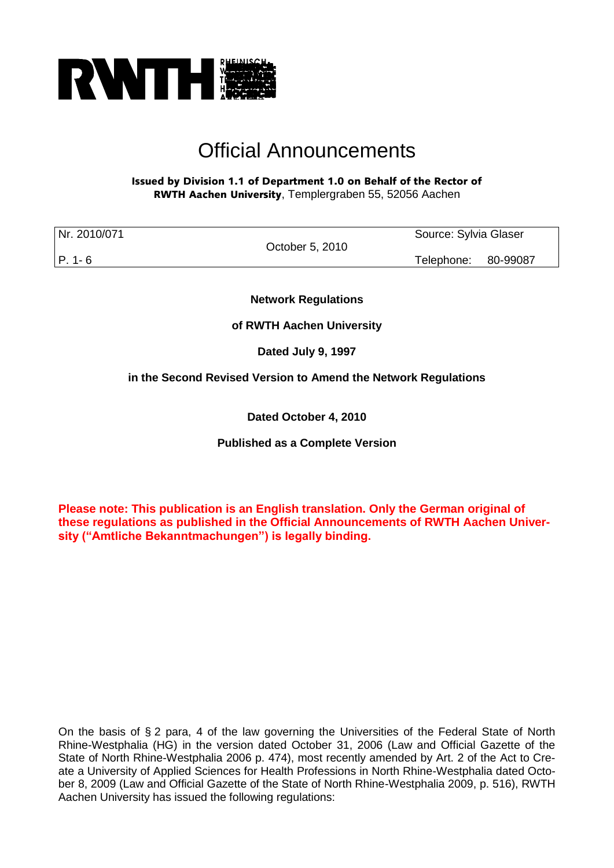

# Official Announcements

## Issued by Division 1.1 of Department 1.0 on Behalf of the Rector of RWTH Aachen University, Templergraben 55, 52056 Aachen

| Nr. 2010/071 |                 | Source: Sylvia Glaser |  |
|--------------|-----------------|-----------------------|--|
|              | October 5, 2010 |                       |  |
| P. 1-6       |                 | Telephone: 80-99087   |  |

**Network Regulations**

**of RWTH Aachen University**

**Dated July 9, 1997** 

**in the Second Revised Version to Amend the Network Regulations** 

**Dated October 4, 2010**

**Published as a Complete Version**

**Please note: This publication is an English translation. Only the German original of these regulations as published in the Official Announcements of RWTH Aachen University ("Amtliche Bekanntmachungen") is legally binding.**

On the basis of § 2 para, 4 of the law governing the Universities of the Federal State of North Rhine-Westphalia (HG) in the version dated October 31, 2006 (Law and Official Gazette of the State of North Rhine-Westphalia 2006 p. 474), most recently amended by Art. 2 of the Act to Create a University of Applied Sciences for Health Professions in North Rhine-Westphalia dated October 8, 2009 (Law and Official Gazette of the State of North Rhine-Westphalia 2009, p. 516), RWTH Aachen University has issued the following regulations: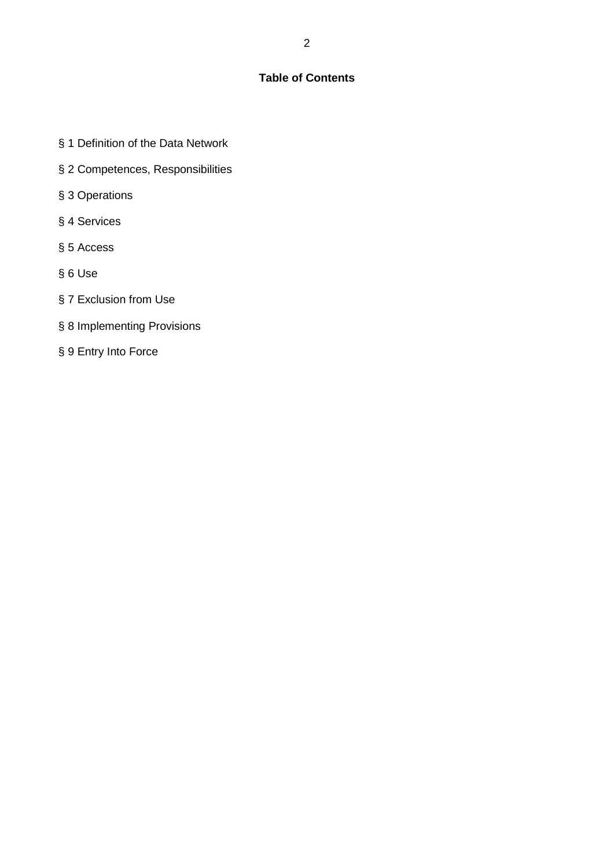# **Table of Contents**

- § 1 Definition of the Data Network
- § 2 Competences, Responsibilities
- § 3 Operations
- § 4 Services
- § 5 Access
- § 6 Use
- § 7 Exclusion from Use
- § 8 Implementing Provisions
- § 9 Entry Into Force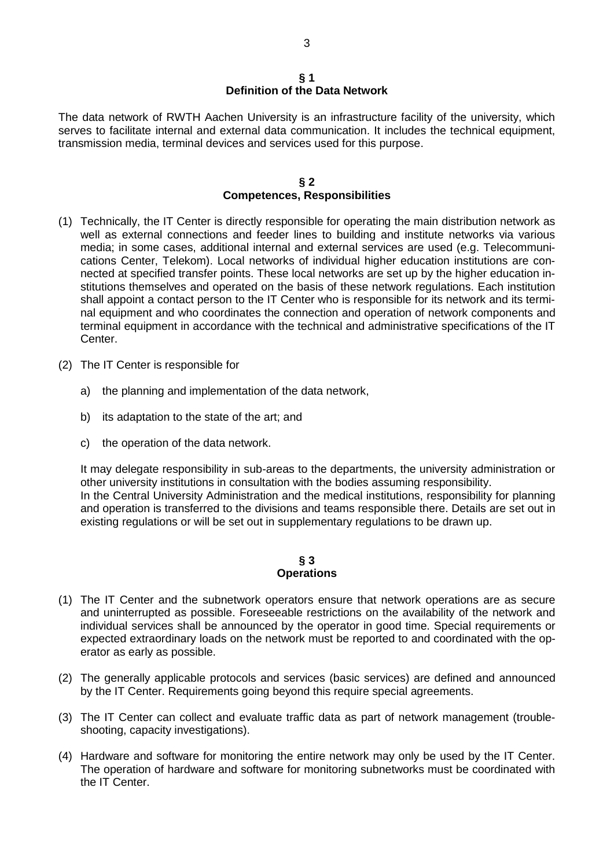#### **§ 1 Definition of the Data Network**

The data network of RWTH Aachen University is an infrastructure facility of the university, which serves to facilitate internal and external data communication. It includes the technical equipment, transmission media, terminal devices and services used for this purpose.

#### **§ 2 Competences, Responsibilities**

- (1) Technically, the IT Center is directly responsible for operating the main distribution network as well as external connections and feeder lines to building and institute networks via various media; in some cases, additional internal and external services are used (e.g. Telecommunications Center, Telekom). Local networks of individual higher education institutions are connected at specified transfer points. These local networks are set up by the higher education institutions themselves and operated on the basis of these network regulations. Each institution shall appoint a contact person to the IT Center who is responsible for its network and its terminal equipment and who coordinates the connection and operation of network components and terminal equipment in accordance with the technical and administrative specifications of the IT Center.
- (2) The IT Center is responsible for
	- a) the planning and implementation of the data network,
	- b) its adaptation to the state of the art; and
	- c) the operation of the data network.

It may delegate responsibility in sub-areas to the departments, the university administration or other university institutions in consultation with the bodies assuming responsibility. In the Central University Administration and the medical institutions, responsibility for planning and operation is transferred to the divisions and teams responsible there. Details are set out in existing regulations or will be set out in supplementary regulations to be drawn up.

#### **§ 3 Operations**

- (1) The IT Center and the subnetwork operators ensure that network operations are as secure and uninterrupted as possible. Foreseeable restrictions on the availability of the network and individual services shall be announced by the operator in good time. Special requirements or expected extraordinary loads on the network must be reported to and coordinated with the operator as early as possible.
- (2) The generally applicable protocols and services (basic services) are defined and announced by the IT Center. Requirements going beyond this require special agreements.
- (3) The IT Center can collect and evaluate traffic data as part of network management (troubleshooting, capacity investigations).
- (4) Hardware and software for monitoring the entire network may only be used by the IT Center. The operation of hardware and software for monitoring subnetworks must be coordinated with the IT Center.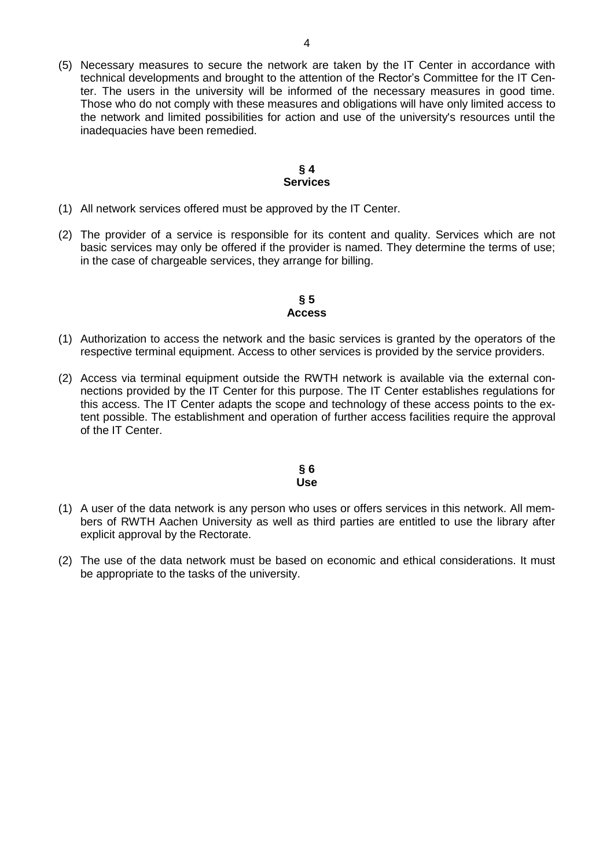(5) Necessary measures to secure the network are taken by the IT Center in accordance with technical developments and brought to the attention of the Rector's Committee for the IT Center. The users in the university will be informed of the necessary measures in good time. Those who do not comply with these measures and obligations will have only limited access to the network and limited possibilities for action and use of the university's resources until the inadequacies have been remedied.

#### **§ 4 Services**

- (1) All network services offered must be approved by the IT Center.
- (2) The provider of a service is responsible for its content and quality. Services which are not basic services may only be offered if the provider is named. They determine the terms of use; in the case of chargeable services, they arrange for billing.

## **§ 5 Access**

- (1) Authorization to access the network and the basic services is granted by the operators of the respective terminal equipment. Access to other services is provided by the service providers.
- (2) Access via terminal equipment outside the RWTH network is available via the external connections provided by the IT Center for this purpose. The IT Center establishes regulations for this access. The IT Center adapts the scope and technology of these access points to the extent possible. The establishment and operation of further access facilities require the approval of the IT Center.

#### **§ 6 Use**

- (1) A user of the data network is any person who uses or offers services in this network. All members of RWTH Aachen University as well as third parties are entitled to use the library after explicit approval by the Rectorate.
- (2) The use of the data network must be based on economic and ethical considerations. It must be appropriate to the tasks of the university.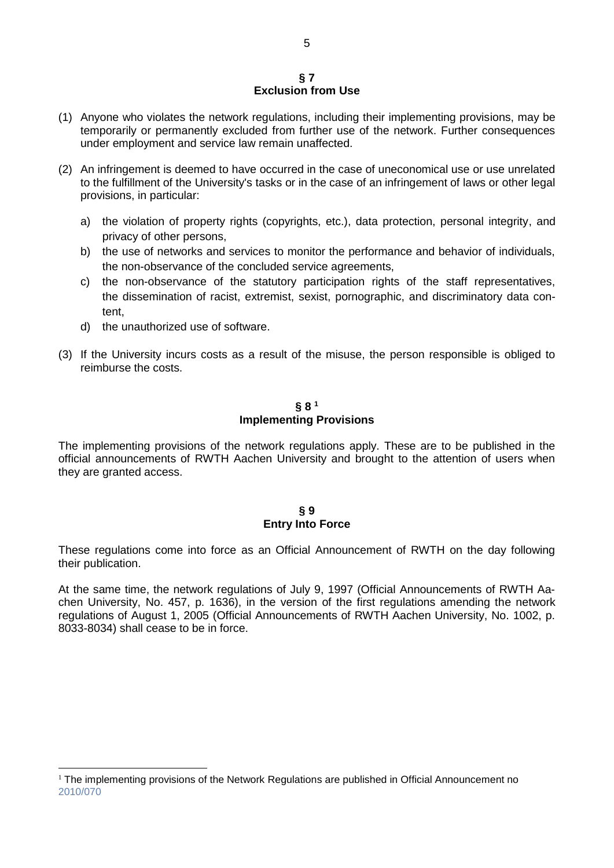#### **§ 7 Exclusion from Use**

- (1) Anyone who violates the network regulations, including their implementing provisions, may be temporarily or permanently excluded from further use of the network. Further consequences under employment and service law remain unaffected.
- (2) An infringement is deemed to have occurred in the case of uneconomical use or use unrelated to the fulfillment of the University's tasks or in the case of an infringement of laws or other legal provisions, in particular:
	- a) the violation of property rights (copyrights, etc.), data protection, personal integrity, and privacy of other persons,
	- b) the use of networks and services to monitor the performance and behavior of individuals, the non-observance of the concluded service agreements,
	- c) the non-observance of the statutory participation rights of the staff representatives, the dissemination of racist, extremist, sexist, pornographic, and discriminatory data content,
	- d) the unauthorized use of software.
- (3) If the University incurs costs as a result of the misuse, the person responsible is obliged to reimburse the costs.

# **§ 8 <sup>1</sup> Implementing Provisions**

The implementing provisions of the network regulations apply. These are to be published in the official announcements of RWTH Aachen University and brought to the attention of users when they are granted access.

## **§ 9 Entry Into Force**

These regulations come into force as an Official Announcement of RWTH on the day following their publication.

At the same time, the network regulations of July 9, 1997 (Official Announcements of RWTH Aachen University, No. 457, p. 1636), in the version of the first regulations amending the network regulations of August 1, 2005 (Official Announcements of RWTH Aachen University, No. 1002, p. 8033-8034) shall cease to be in force.

<sup>&</sup>lt;u>.</u>  $1$  The implementing provisions of the Network Regulations are published in Official Announcement no [2010/070](http://www.rwth-aachen.de/cms/root/Die_RWTH/Aktuell/~xhf/Amtliche_Bekanntmachungen/?search=2010%2F070&page=)